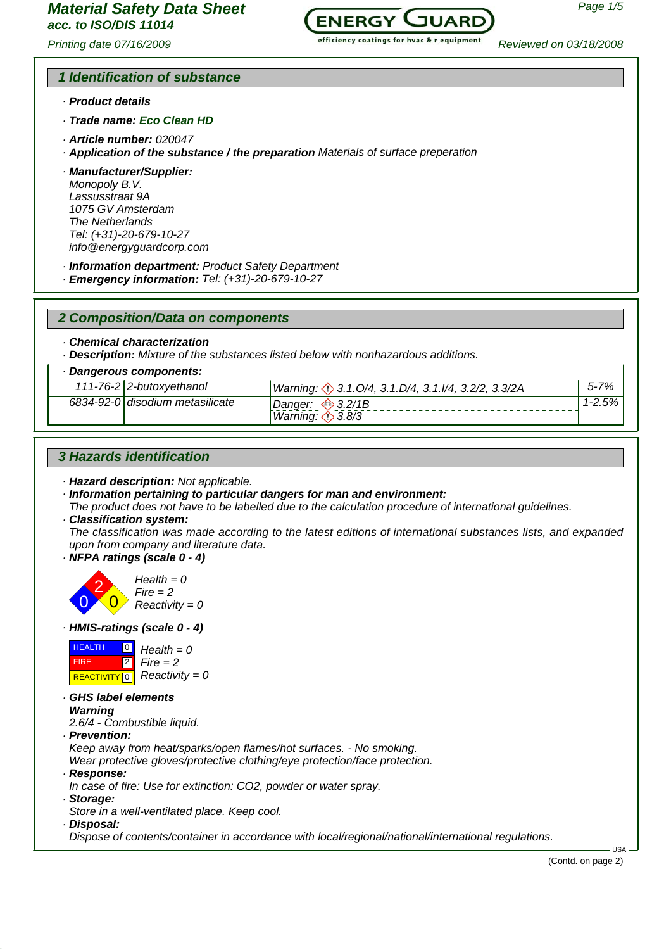# *acc. to ISO/DIS 11014*

*Printing date 07/16/2009 Reviewed on 03/18/2008*



# *1 Identification of substance*

- *· Product details*
- *· Trade name: Eco Clean HD*
- *· Article number: 020047*
- *· Application of the substance / the preparation Materials of surface preperation*

*· Manufacturer/Supplier: Monopoly B.V. Lassusstraat 9A 1075 GV Amsterdam The Netherlands Tel: (+31)-20-679-10-27 info@energyguardcorp.com*

- *· Information department: Product Safety Department*
- *· Emergency information: Tel: (+31)-20-679-10-27*

*2 Composition/Data on components*

*· Chemical characterization*

*· Description: Mixture of the substances listed below with nonhazardous additions.*

#### *· Dangerous components:*

| 111-76-2 2-butoxyethanol        | Warning: 3.1.0/4, 3.1.D/4, 3.1.I/4, 3.2/2, 3.3/2A         | $5 - 7%$ |
|---------------------------------|-----------------------------------------------------------|----------|
| 6834-92-0 disodium metasilicate | Danger: $\iff$ 3.2/1B<br>Warning: $\langle \rangle$ 3.8/3 | 1-2.5%   |

# *3 Hazards identification*

- *· Hazard description: Not applicable.*
- *· Information pertaining to particular dangers for man and environment:*
- *The product does not have to be labelled due to the calculation procedure of international guidelines.*
- *· Classification system:*

*The classification was made according to the latest editions of international substances lists, and expanded upon from company and literature data.*

*· NFPA ratings (scale 0 - 4)*



*· HMIS-ratings (scale 0 - 4)*



*· GHS label elements Warning*

*2.6/4 - Combustible liquid.*

*· Prevention:*

*Keep away from heat/sparks/open flames/hot surfaces. - No smoking.*

*Wear protective gloves/protective clothing/eye protection/face protection.*

- *· Response:*
- *In case of fire: Use for extinction: CO2, powder or water spray.*
- *· Storage:*
- *Store in a well-ventilated place. Keep cool.*
- *· Disposal:*

*Dispose of contents/container in accordance with local/regional/national/international regulations.*

USA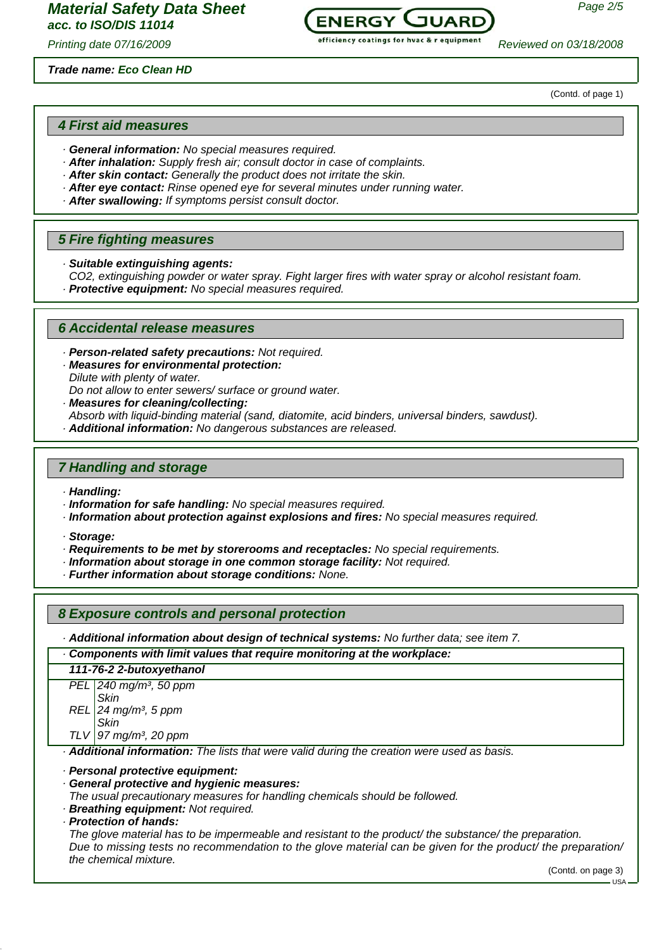#### *Trade name: Eco Clean HD*



*Printing date 07/16/2009 Reviewed on 03/18/2008*

(Contd. of page 1)

## *4 First aid measures*

- *· General information: No special measures required.*
- *· After inhalation: Supply fresh air; consult doctor in case of complaints.*
- *· After skin contact: Generally the product does not irritate the skin.*
- *· After eye contact: Rinse opened eye for several minutes under running water.*
- *· After swallowing: If symptoms persist consult doctor.*

## *5 Fire fighting measures*

- *· Suitable extinguishing agents:*
- *CO2, extinguishing powder or water spray. Fight larger fires with water spray or alcohol resistant foam.*
- *· Protective equipment: No special measures required.*

# *6 Accidental release measures*

- *· Person-related safety precautions: Not required.*
- *· Measures for environmental protection: Dilute with plenty of water. Do not allow to enter sewers/ surface or ground water.*
- *· Measures for cleaning/collecting:*
- *Absorb with liquid-binding material (sand, diatomite, acid binders, universal binders, sawdust).*
- *· Additional information: No dangerous substances are released.*

# *7 Handling and storage*

- *· Handling:*
- *· Information for safe handling: No special measures required.*
- *· Information about protection against explosions and fires: No special measures required.*
- *· Storage:*
- *· Requirements to be met by storerooms and receptacles: No special requirements.*
- *· Information about storage in one common storage facility: Not required.*
- *· Further information about storage conditions: None.*

## *8 Exposure controls and personal protection*

*· Additional information about design of technical systems: No further data; see item 7.*

*· Components with limit values that require monitoring at the workplace: 111-76-2 2-butoxyethanol PEL 240 mg/m³, 50 ppm REL 24 mg/m³, 5 ppm Skin Skin*

*TLV 97 mg/m³, 20 ppm*

*· Additional information: The lists that were valid during the creation were used as basis.*

*· Personal protective equipment:*

*· General protective and hygienic measures:*

*The usual precautionary measures for handling chemicals should be followed.*

- *· Breathing equipment: Not required.*
- *· Protection of hands:*

*The glove material has to be impermeable and resistant to the product/ the substance/ the preparation. Due to missing tests no recommendation to the glove material can be given for the product/ the preparation/ the chemical mixture.*

(Contd. on page 3)

 $-11S_A$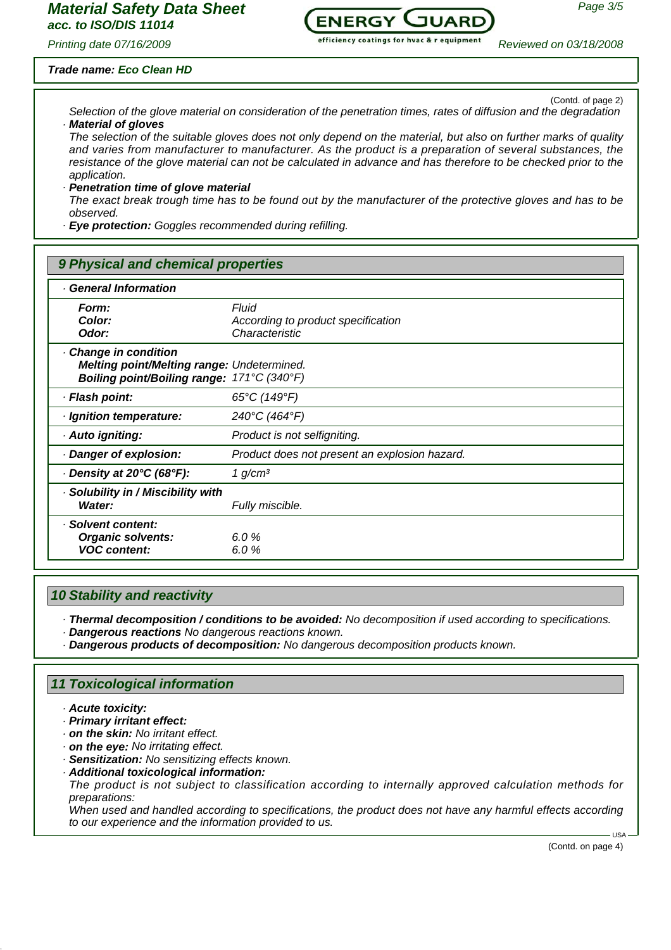

*Printing date 07/16/2009 Reviewed on 03/18/2008*

## *Trade name: Eco Clean HD*

(Contd. of page 2)

*Selection of the glove material on consideration of the penetration times, rates of diffusion and the degradation* **Material of gloves** 

*The selection of the suitable gloves does not only depend on the material, but also on further marks of quality and varies from manufacturer to manufacturer. As the product is a preparation of several substances, the resistance of the glove material can not be calculated in advance and has therefore to be checked prior to the application.*

#### *· Penetration time of glove material*

*The exact break trough time has to be found out by the manufacturer of the protective gloves and has to be observed.*

*· Eye protection: Goggles recommended during refilling.*

# *9 Physical and chemical properties*

| · General Information                                                                                           |                                                               |  |
|-----------------------------------------------------------------------------------------------------------------|---------------------------------------------------------------|--|
| Form:<br>Color:<br>Odor:                                                                                        | Fluid<br>According to product specification<br>Characteristic |  |
| Change in condition<br>Melting point/Melting range: Undetermined.<br>Boiling point/Boiling range: 171°C (340°F) |                                                               |  |
| · Flash point:                                                                                                  | $65^{\circ}$ C (149 $^{\circ}$ F)                             |  |
| · Ignition temperature:                                                                                         | 240°C (464°F)                                                 |  |
| · Auto igniting:                                                                                                | Product is not selfigniting.                                  |  |
| Danger of explosion:                                                                                            | Product does not present an explosion hazard.                 |  |
| $\cdot$ Density at 20°C (68°F):                                                                                 | 1 $g/cm3$                                                     |  |
| · Solubility in / Miscibility with<br>Water:                                                                    | Fully miscible.                                               |  |
| · Solvent content:<br><b>Organic solvents:</b><br><b>VOC content:</b>                                           | 6.0 $%$<br>6.0%                                               |  |

## *10 Stability and reactivity*

*· Thermal decomposition / conditions to be avoided: No decomposition if used according to specifications.*

*· Dangerous reactions No dangerous reactions known.*

*· Dangerous products of decomposition: No dangerous decomposition products known.*

## *11 Toxicological information*

- *· Acute toxicity:*
- *· Primary irritant effect:*
- *· on the skin: No irritant effect.*
- *· on the eye: No irritating effect.*
- *· Sensitization: No sensitizing effects known.*
- *· Additional toxicological information:*

*The product is not subject to classification according to internally approved calculation methods for preparations:*

*When used and handled according to specifications, the product does not have any harmful effects according to our experience and the information provided to us.*

(Contd. on page 4)

USA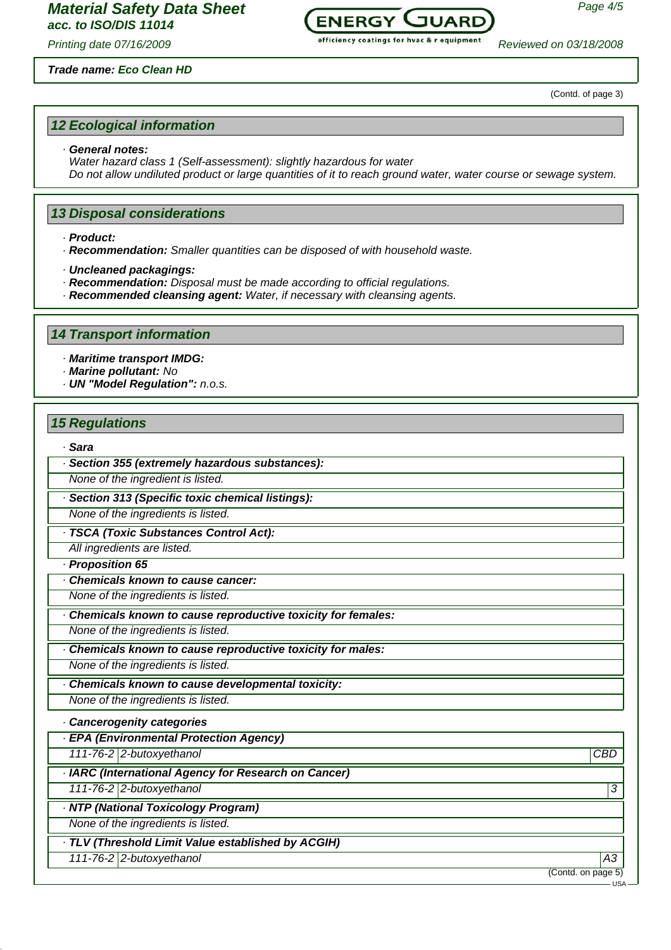

*Printing date 07/16/2009 Reviewed on 03/18/2008*

#### *Trade name: Eco Clean HD*

(Contd. of page 3)

## *12 Ecological information*

#### *· General notes:*

*Water hazard class 1 (Self-assessment): slightly hazardous for water Do not allow undiluted product or large quantities of it to reach ground water, water course or sewage system.*

## *13 Disposal considerations*

*· Product:*

*· Recommendation: Smaller quantities can be disposed of with household waste.*

*· Uncleaned packagings:*

- *· Recommendation: Disposal must be made according to official regulations.*
- *· Recommended cleansing agent: Water, if necessary with cleansing agents.*

### *14 Transport information*

*· Maritime transport IMDG:*

*· Marine pollutant: No*

*· UN "Model Regulation": n.o.s.*

#### *15 Regulations*

#### *· Sara*

*· Section 355 (extremely hazardous substances):*

*None of the ingredient is listed.*

*· Section 313 (Specific toxic chemical listings):*

*None of the ingredients is listed.*

*· TSCA (Toxic Substances Control Act):*

*All ingredients are listed.*

*· Proposition 65*

*· Chemicals known to cause cancer:*

*None of the ingredients is listed.*

*· Chemicals known to cause reproductive toxicity for females:*

*None of the ingredients is listed.*

*· Chemicals known to cause reproductive toxicity for males: None of the ingredients is listed.*

*· Chemicals known to cause developmental toxicity: None of the ingredients is listed.*

# *· Cancerogenity categories*

*· EPA (Environmental Protection Agency)*

*111-76-2 2-butoxyethanol CBD*

*· IARC (International Agency for Research on Cancer)*

*111-76-2 2-butoxyethanol 3* 

*· NTP (National Toxicology Program)*

*None of the ingredients is listed.*

*· TLV (Threshold Limit Value established by ACGIH)*

*111-76-2 2-butoxyethanol A3*

(Contd. on page 5)